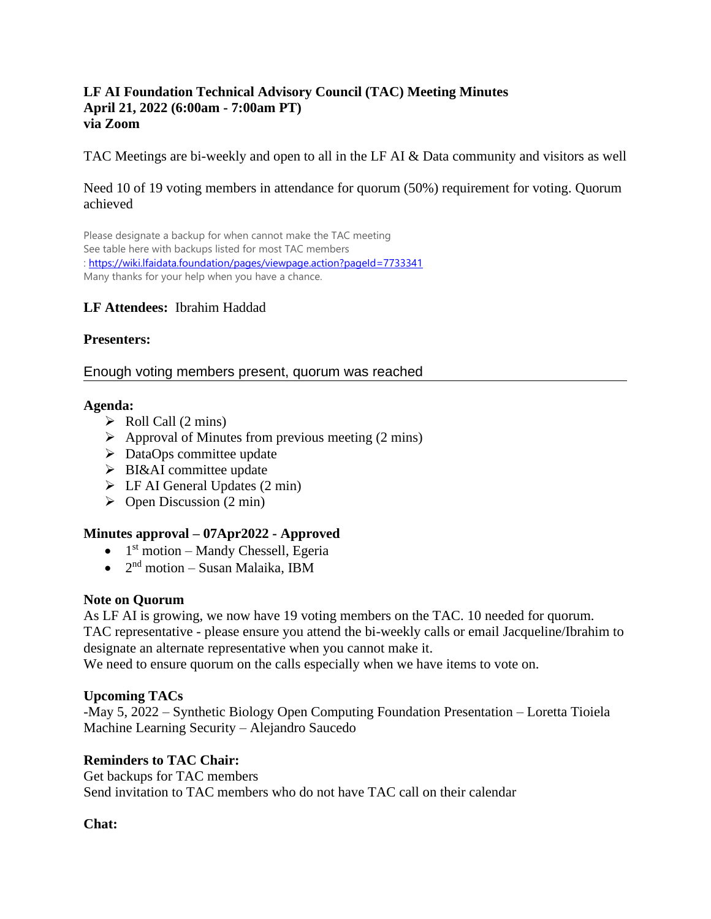### **LF AI Foundation Technical Advisory Council (TAC) Meeting Minutes April 21, 2022 (6:00am - 7:00am PT) via Zoom**

TAC Meetings are bi-weekly and open to all in the LF AI & Data community and visitors as well

### Need 10 of 19 voting members in attendance for quorum (50%) requirement for voting. Quorum achieved

Please designate a backup for when cannot make the TAC meeting See table here with backups listed for most TAC members :<https://wiki.lfaidata.foundation/pages/viewpage.action?pageId=7733341> Many thanks for your help when you have a chance.

### **LF Attendees:** Ibrahim Haddad

### **Presenters:**

### Enough voting members present, quorum was reached

#### **Agenda:**

- $\triangleright$  Roll Call (2 mins)
- $\triangleright$  Approval of Minutes from previous meeting (2 mins)
- ➢ DataOps committee update
- ➢ BI&AI committee update
- $\triangleright$  LF AI General Updates (2 min)
- $\triangleright$  Open Discussion (2 min)

### **Minutes approval – 07Apr2022 - Approved**

- $\bullet$  1<sup>st</sup> motion Mandy Chessell, Egeria
- $\bullet$  2<sup>nd</sup> motion Susan Malaika, IBM

### **Note on Quorum**

As LF AI is growing, we now have 19 voting members on the TAC. 10 needed for quorum. TAC representative - please ensure you attend the bi-weekly calls or email Jacqueline/Ibrahim to designate an alternate representative when you cannot make it.

We need to ensure quorum on the calls especially when we have items to vote on.

### **Upcoming TACs**

-May 5, 2022 – Synthetic Biology Open Computing Foundation Presentation – Loretta Tioiela Machine Learning Security – Alejandro Saucedo

### **Reminders to TAC Chair:**

Get backups for TAC members Send invitation to TAC members who do not have TAC call on their calendar

### **Chat:**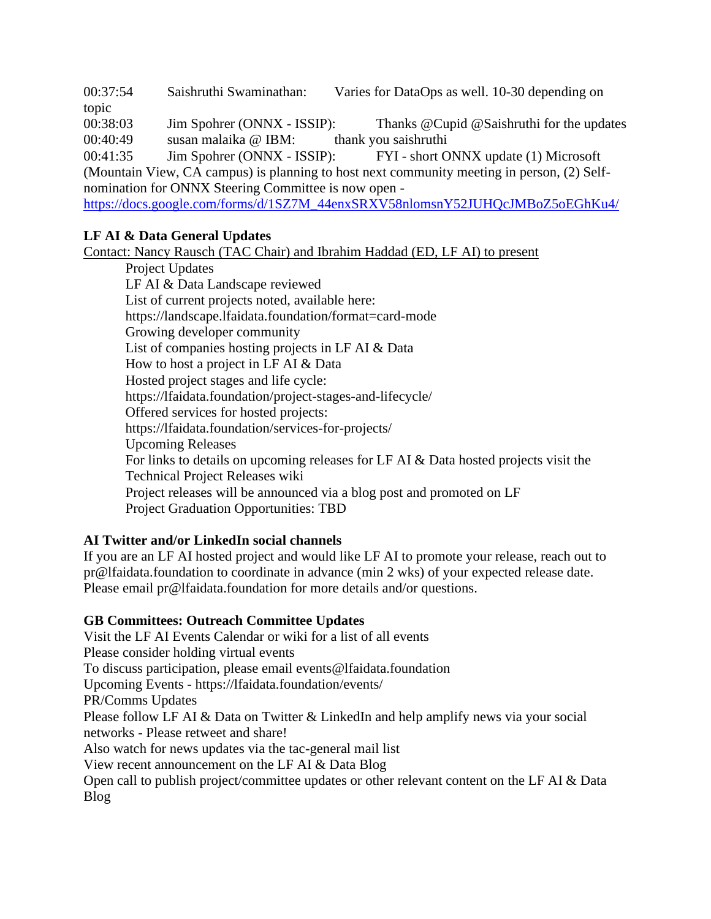00:37:54 Saishruthi Swaminathan: Varies for DataOps as well. 10-30 depending on topic

00:38:03 Jim Spohrer (ONNX - ISSIP): Thanks @Cupid @Saishruthi for the updates 00:40:49 susan malaika @ IBM: thank you saishruthi

00:41:35 Jim Spohrer (ONNX - ISSIP): FYI - short ONNX update (1) Microsoft (Mountain View, CA campus) is planning to host next community meeting in person, (2) Selfnomination for ONNX Steering Committee is now open -

[https://docs.google.com/forms/d/1SZ7M\\_44enxSRXV58nlomsnY52JUHQcJMBoZ5oEGhKu4/](https://docs.google.com/forms/d/1SZ7M_44enxSRXV58nlomsnY52JUHQcJMBoZ5oEGhKu4/)

# **LF AI & Data General Updates**

Contact: Nancy Rausch (TAC Chair) and Ibrahim Haddad (ED, LF AI) to present

Project Updates LF AI & Data Landscape reviewed List of current projects noted, available here: https://landscape.lfaidata.foundation/format=card-mode Growing developer community List of companies hosting projects in LF AI & Data How to host a project in LF AI & Data Hosted project stages and life cycle: https://lfaidata.foundation/project-stages-and-lifecycle/ Offered services for hosted projects: https://lfaidata.foundation/services-for-projects/ Upcoming Releases For links to details on upcoming releases for LF AI & Data hosted projects visit the Technical Project Releases wiki Project releases will be announced via a blog post and promoted on LF Project Graduation Opportunities: TBD

# **AI Twitter and/or LinkedIn social channels**

If you are an LF AI hosted project and would like LF AI to promote your release, reach out to pr@lfaidata.foundation to coordinate in advance (min 2 wks) of your expected release date. Please email pr@lfaidata.foundation for more details and/or questions.

### **GB Committees: Outreach Committee Updates**

Visit the LF AI Events Calendar or wiki for a list of all events Please consider holding virtual events To discuss participation, please email events@lfaidata.foundation Upcoming Events - https://lfaidata.foundation/events/ PR/Comms Updates Please follow LF AI & Data on Twitter & LinkedIn and help amplify news via your social networks - Please retweet and share! Also watch for news updates via the tac-general mail list View recent announcement on the LF AI & Data Blog Open call to publish project/committee updates or other relevant content on the LF AI & Data Blog